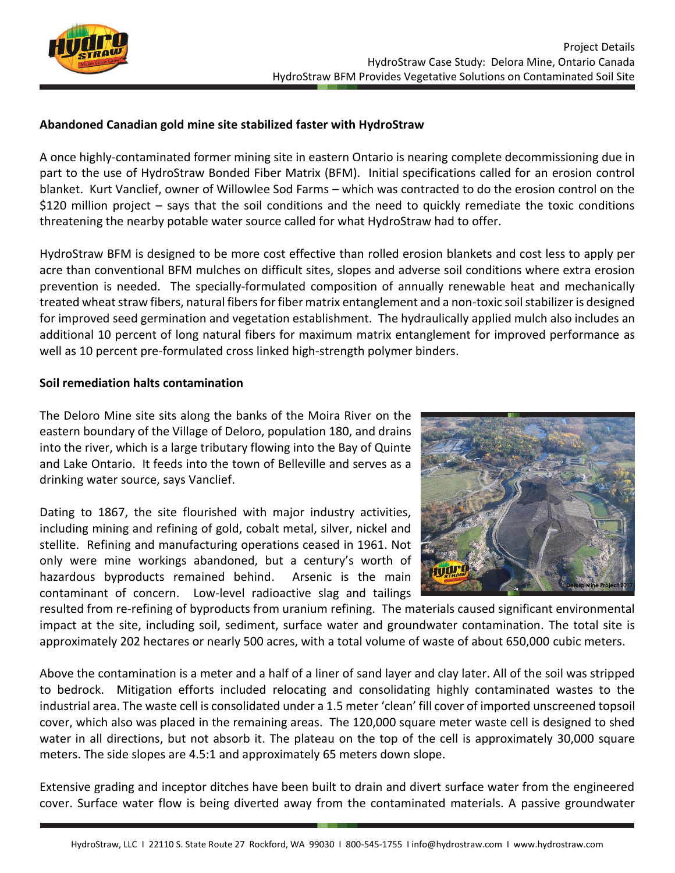

## **Abandoned Canadian gold mine site stabilized faster with HydroStraw**

A once highly-contaminated former mining site in eastern Ontario is nearing complete decommissioning due in part to the use of HydroStraw Bonded Fiber Matrix (BFM). Initial specifications called for an erosion control blanket. Kurt Vanclief, owner of Willowlee Sod Farms – which was contracted to do the erosion control on the \$120 million project – says that the soil conditions and the need to quickly remediate the toxic conditions threatening the nearby potable water source called for what HydroStraw had to offer.

HydroStraw BFM is designed to be more cost effective than rolled erosion blankets and cost less to apply per acre than conventional BFM mulches on difficult sites, slopes and adverse soil conditions where extra erosion prevention is needed. The specially-formulated composition of annually renewable heat and mechanically treated wheat straw fibers, natural fibers for fiber matrix entanglement and a non-toxic soil stabilizer is designed for improved seed germination and vegetation establishment. The hydraulically applied mulch also includes an additional 10 percent of long natural fibers for maximum matrix entanglement for improved performance as well as 10 percent pre-formulated cross linked high-strength polymer binders.

## **Soil remediation halts contamination**

The Deloro Mine site sits along the banks of the Moira River on the eastern boundary of the Village of Deloro, population 180, and drains into the river, which is a large tributary flowing into the Bay of Quinte and Lake Ontario. It feeds into the town of Belleville and serves as a drinking water source, says Vanclief.

Dating to 1867, the site flourished with major industry activities, including mining and refining of gold, cobalt metal, silver, nickel and stellite. Refining and manufacturing operations ceased in 1961. Not only were mine workings abandoned, but a century's worth of hazardous byproducts remained behind. Arsenic is the main contaminant of concern. Low-level radioactive slag and tailings



resulted from re-refining of byproducts from uranium refining. The materials caused significant environmental impact at the site, including soil, sediment, surface water and groundwater contamination. The total site is approximately 202 hectares or nearly 500 acres, with a total volume of waste of about 650,000 cubic meters.

Above the contamination is a meter and a half of a liner of sand layer and clay later. All of the soil was stripped to bedrock. Mitigation efforts included relocating and consolidating highly contaminated wastes to the industrial area. The waste cell is consolidated under a 1.5 meter 'clean' fill cover of imported unscreened topsoil cover, which also was placed in the remaining areas. The 120,000 square meter waste cell is designed to shed water in all directions, but not absorb it. The plateau on the top of the cell is approximately 30,000 square meters. The side slopes are 4.5:1 and approximately 65 meters down slope.

Extensive grading and inceptor ditches have been built to drain and divert surface water from the engineered cover. Surface water flow is being diverted away from the contaminated materials. A passive groundwater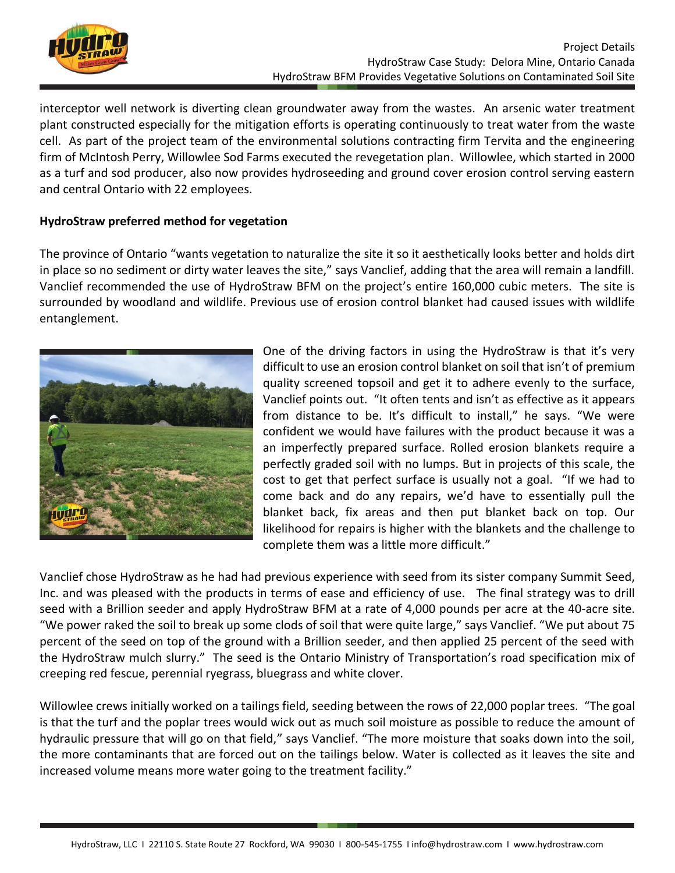

interceptor well network is diverting clean groundwater away from the wastes. An arsenic water treatment plant constructed especially for the mitigation efforts is operating continuously to treat water from the waste cell. As part of the project team of the environmental solutions contracting firm Tervita and the engineering firm of McIntosh Perry, Willowlee Sod Farms executed the revegetation plan. Willowlee, which started in 2000 as a turf and sod producer, also now provides hydroseeding and ground cover erosion control serving eastern and central Ontario with 22 employees.

## **HydroStraw preferred method for vegetation**

The province of Ontario "wants vegetation to naturalize the site it so it aesthetically looks better and holds dirt in place so no sediment or dirty water leaves the site," says Vanclief, adding that the area will remain a landfill. Vanclief recommended the use of HydroStraw BFM on the project's entire 160,000 cubic meters. The site is surrounded by woodland and wildlife. Previous use of erosion control blanket had caused issues with wildlife entanglement.



One of the driving factors in using the HydroStraw is that it's very difficult to use an erosion control blanket on soil that isn't of premium quality screened topsoil and get it to adhere evenly to the surface, Vanclief points out. "It often tents and isn't as effective as it appears from distance to be. It's difficult to install," he says. "We were confident we would have failures with the product because it was a an imperfectly prepared surface. Rolled erosion blankets require a perfectly graded soil with no lumps. But in projects of this scale, the cost to get that perfect surface is usually not a goal. "If we had to come back and do any repairs, we'd have to essentially pull the blanket back, fix areas and then put blanket back on top. Our likelihood for repairs is higher with the blankets and the challenge to complete them was a little more difficult."

Vanclief chose HydroStraw as he had had previous experience with seed from its sister company Summit Seed, Inc. and was pleased with the products in terms of ease and efficiency of use. The final strategy was to drill seed with a Brillion seeder and apply HydroStraw BFM at a rate of 4,000 pounds per acre at the 40-acre site. "We power raked the soil to break up some clods of soil that were quite large," says Vanclief. "We put about 75 percent of the seed on top of the ground with a Brillion seeder, and then applied 25 percent of the seed with the HydroStraw mulch slurry." The seed is the Ontario Ministry of Transportation's road specification mix of creeping red fescue, perennial ryegrass, bluegrass and white clover.

Willowlee crews initially worked on a tailings field, seeding between the rows of 22,000 poplar trees. "The goal is that the turf and the poplar trees would wick out as much soil moisture as possible to reduce the amount of hydraulic pressure that will go on that field," says Vanclief. "The more moisture that soaks down into the soil, the more contaminants that are forced out on the tailings below. Water is collected as it leaves the site and increased volume means more water going to the treatment facility."